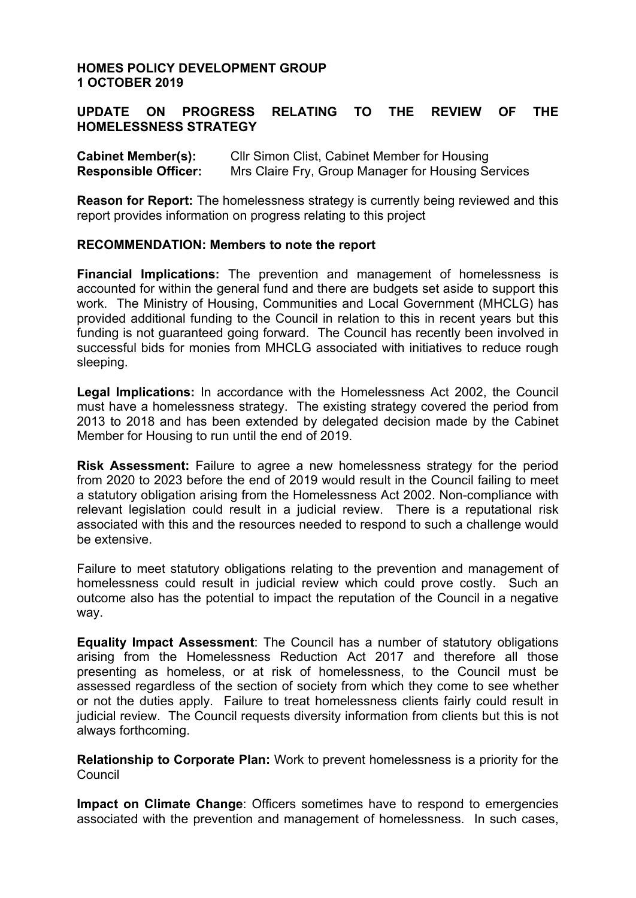### **HOMES POLICY DEVELOPMENT GROUP 1 OCTOBER 2019**

### **UPDATE ON PROGRESS RELATING TO THE REVIEW OF THE HOMELESSNESS STRATEGY**

| <b>Cabinet Member(s):</b>   | CIIr Simon Clist, Cabinet Member for Housing       |
|-----------------------------|----------------------------------------------------|
| <b>Responsible Officer:</b> | Mrs Claire Fry, Group Manager for Housing Services |

**Reason for Report:** The homelessness strategy is currently being reviewed and this report provides information on progress relating to this project

#### **RECOMMENDATION: Members to note the report**

**Financial Implications:** The prevention and management of homelessness is accounted for within the general fund and there are budgets set aside to support this work. The Ministry of Housing, Communities and Local Government (MHCLG) has provided additional funding to the Council in relation to this in recent years but this funding is not guaranteed going forward. The Council has recently been involved in successful bids for monies from MHCLG associated with initiatives to reduce rough sleeping.

**Legal Implications:** In accordance with the Homelessness Act 2002, the Council must have a homelessness strategy. The existing strategy covered the period from 2013 to 2018 and has been extended by delegated decision made by the Cabinet Member for Housing to run until the end of 2019.

**Risk Assessment:** Failure to agree a new homelessness strategy for the period from 2020 to 2023 before the end of 2019 would result in the Council failing to meet a statutory obligation arising from the Homelessness Act 2002. Non-compliance with relevant legislation could result in a judicial review. There is a reputational risk associated with this and the resources needed to respond to such a challenge would be extensive.

Failure to meet statutory obligations relating to the prevention and management of homelessness could result in judicial review which could prove costly. Such an outcome also has the potential to impact the reputation of the Council in a negative way.

**Equality Impact Assessment**: The Council has a number of statutory obligations arising from the Homelessness Reduction Act 2017 and therefore all those presenting as homeless, or at risk of homelessness, to the Council must be assessed regardless of the section of society from which they come to see whether or not the duties apply. Failure to treat homelessness clients fairly could result in judicial review. The Council requests diversity information from clients but this is not always forthcoming.

**Relationship to Corporate Plan:** Work to prevent homelessness is a priority for the Council

**Impact on Climate Change**: Officers sometimes have to respond to emergencies associated with the prevention and management of homelessness. In such cases,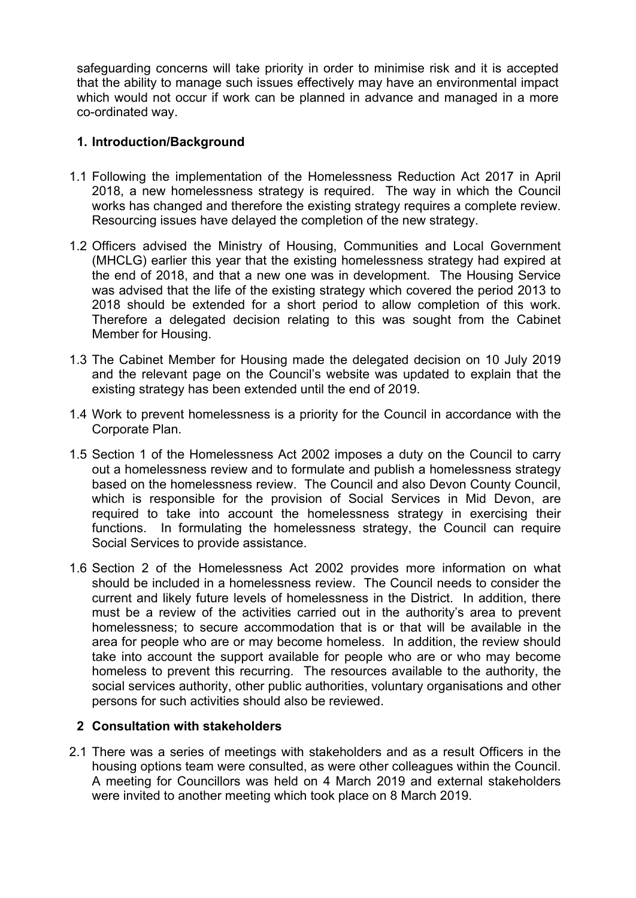safeguarding concerns will take priority in order to minimise risk and it is accepted that the ability to manage such issues effectively may have an environmental impact which would not occur if work can be planned in advance and managed in a more co-ordinated way.

# **1. Introduction/Background**

- 1.1 Following the implementation of the Homelessness Reduction Act 2017 in April 2018, a new homelessness strategy is required. The way in which the Council works has changed and therefore the existing strategy requires a complete review. Resourcing issues have delayed the completion of the new strategy.
- 1.2 Officers advised the Ministry of Housing, Communities and Local Government (MHCLG) earlier this year that the existing homelessness strategy had expired at the end of 2018, and that a new one was in development. The Housing Service was advised that the life of the existing strategy which covered the period 2013 to 2018 should be extended for a short period to allow completion of this work. Therefore a delegated decision relating to this was sought from the Cabinet Member for Housing.
- 1.3 The Cabinet Member for Housing made the delegated decision on 10 July 2019 and the relevant page on the Council's website was updated to explain that the existing strategy has been extended until the end of 2019.
- 1.4 Work to prevent homelessness is a priority for the Council in accordance with the Corporate Plan.
- 1.5 Section 1 of the Homelessness Act 2002 imposes a duty on the Council to carry out a homelessness review and to formulate and publish a homelessness strategy based on the homelessness review. The Council and also Devon County Council, which is responsible for the provision of Social Services in Mid Devon, are required to take into account the homelessness strategy in exercising their functions. In formulating the homelessness strategy, the Council can require Social Services to provide assistance.
- 1.6 Section 2 of the Homelessness Act 2002 provides more information on what should be included in a homelessness review. The Council needs to consider the current and likely future levels of homelessness in the District. In addition, there must be a review of the activities carried out in the authority's area to prevent homelessness; to secure accommodation that is or that will be available in the area for people who are or may become homeless. In addition, the review should take into account the support available for people who are or who may become homeless to prevent this recurring. The resources available to the authority, the social services authority, other public authorities, voluntary organisations and other persons for such activities should also be reviewed.

### **2 Consultation with stakeholders**

2.1 There was a series of meetings with stakeholders and as a result Officers in the housing options team were consulted, as were other colleagues within the Council. A meeting for Councillors was held on 4 March 2019 and external stakeholders were invited to another meeting which took place on 8 March 2019.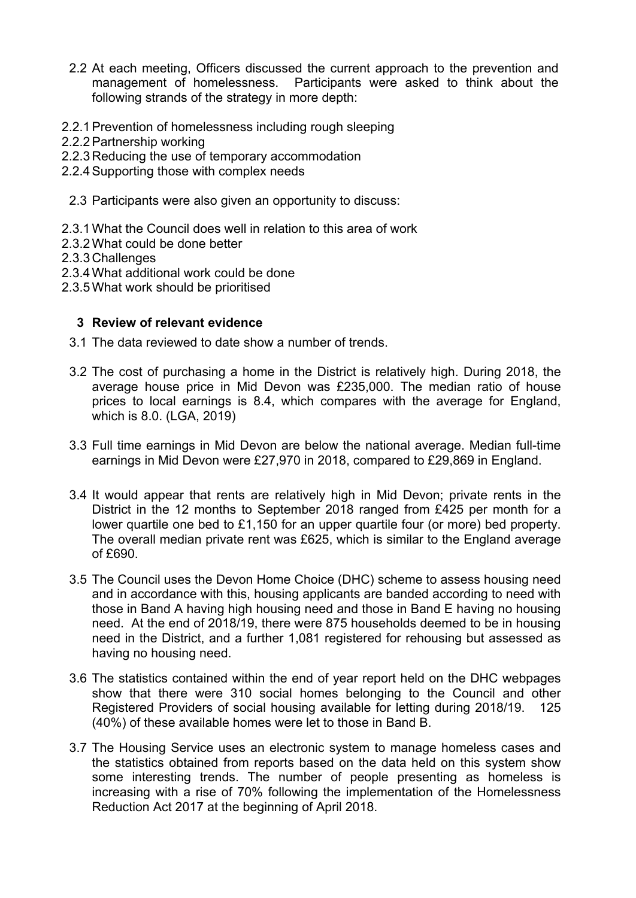- 2.2 At each meeting, Officers discussed the current approach to the prevention and management of homelessness. Participants were asked to think about the following strands of the strategy in more depth:
- 2.2.1Prevention of homelessness including rough sleeping
- 2.2.2Partnership working
- 2.2.3 Reducing the use of temporary accommodation
- 2.2.4Supporting those with complex needs
- 2.3 Participants were also given an opportunity to discuss:
- 2.3.1What the Council does well in relation to this area of work
- 2.3.2What could be done better
- 2.3.3 Challenges
- 2.3.4What additional work could be done
- 2.3.5What work should be prioritised

## **3 Review of relevant evidence**

- 3.1 The data reviewed to date show a number of trends.
- 3.2 The cost of purchasing a home in the District is relatively high. During 2018, the average house price in Mid Devon was £235,000. The median ratio of house prices to local earnings is 8.4, which compares with the average for England, which is 8.0. (LGA, 2019)
- 3.3 Full time earnings in Mid Devon are below the national average. Median full-time earnings in Mid Devon were £27,970 in 2018, compared to £29,869 in England.
- 3.4 It would appear that rents are relatively high in Mid Devon; private rents in the District in the 12 months to September 2018 ranged from £425 per month for a lower quartile one bed to £1,150 for an upper quartile four (or more) bed property. The overall median private rent was £625, which is similar to the England average of £690.
- 3.5 The Council uses the Devon Home Choice (DHC) scheme to assess housing need and in accordance with this, housing applicants are banded according to need with those in Band A having high housing need and those in Band E having no housing need. At the end of 2018/19, there were 875 households deemed to be in housing need in the District, and a further 1,081 registered for rehousing but assessed as having no housing need.
- 3.6 The statistics contained within the end of year report held on the DHC webpages show that there were 310 social homes belonging to the Council and other Registered Providers of social housing available for letting during 2018/19. 125 (40%) of these available homes were let to those in Band B.
- 3.7 The Housing Service uses an electronic system to manage homeless cases and the statistics obtained from reports based on the data held on this system show some interesting trends. The number of people presenting as homeless is increasing with a rise of 70% following the implementation of the Homelessness Reduction Act 2017 at the beginning of April 2018.